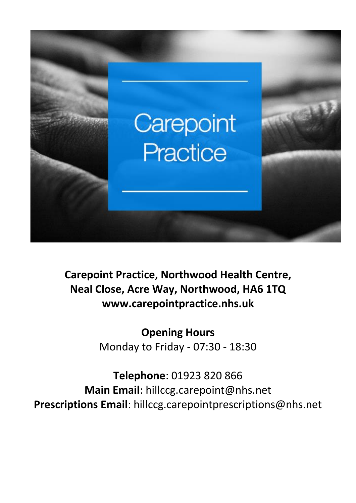

**Carepoint Practice, Northwood Health Centre, Neal Close, Acre Way, Northwood, HA6 1TQ www.carepointpractice.nhs.uk**

> **Opening Hours** Monday to Friday - 07:30 - 18:30

**Telephone**: 01923 820 866 **Main Email**: hillccg[.carepoint@nhs.net](mailto:carepoint@nhs.net) **Prescriptions Email**: hillccg.carepointprescriptions@nhs.net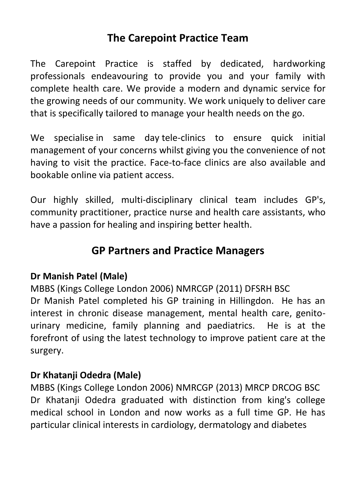# **The Carepoint Practice Team**

The Carepoint Practice is staffed by dedicated, hardworking professionals endeavouring to provide you and your family with complete health care. We provide a modern and dynamic service for the growing needs of our community. We work uniquely to deliver care that is specifically tailored to manage your health needs on the go.

We specialise in same day tele-clinics to ensure quick initial management of your concerns whilst giving you the convenience of not having to visit the practice. Face-to-face clinics are also available and bookable online via patient [access.](http://www.carepointpractice.nhs.uk/patient-access)

Our highly skilled, multi-disciplinary clinical team includes GP's, community practitioner, practice nurse and health care assistants, who have a passion for healing and inspiring better health.

# **GP Partners and Practice Managers**

### **Dr Manish Patel (Male)**

MBBS (Kings College London 2006) NMRCGP (2011) DFSRH BSC Dr Manish Patel completed his GP training in Hillingdon. He has an interest in chronic disease management, mental health care, genitourinary medicine, family planning and paediatrics. He is at the forefront of using the latest technology to improve patient care at the surgery.

### **Dr Khatanji Odedra (Male)**

MBBS (Kings College London 2006) NMRCGP (2013) MRCP DRCOG BSC Dr Khatanji Odedra graduated with distinction from king's college medical school in London and now works as a full time GP. He has particular clinical interests in cardiology, dermatology and diabetes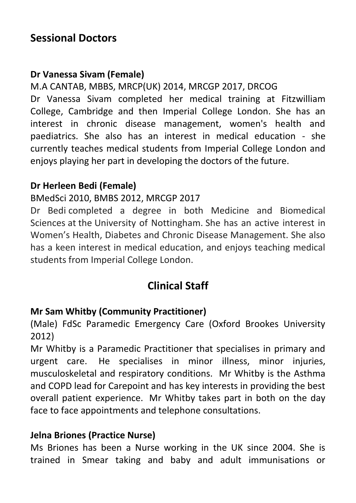## **Sessional Doctors**

### **Dr Vanessa Sivam (Female)**

M.A CANTAB, MBBS, MRCP(UK) 2014, MRCGP 2017, DRCOG Dr Vanessa Sivam completed her medical training at Fitzwilliam College, Cambridge and then Imperial College London. She has an interest in chronic disease management, women's health and paediatrics. She also has an interest in medical education - she currently teaches medical students from Imperial College London and

enjoys playing her part in developing the doctors of the future.

### **Dr Herleen Bedi (Female)**

### BMedSci 2010, BMBS 2012, MRCGP 2017

Dr Bedi completed a degree in both Medicine and Biomedical Sciences at the University of Nottingham. She has an active interest in Women's Health, Diabetes and Chronic Disease Management. She also has a keen interest in medical education, and enjoys teaching medical students from Imperial College London.

# **Clinical Staff**

### **Mr Sam Whitby (Community Practitioner)**

(Male) FdSc Paramedic Emergency Care (Oxford Brookes University 2012)

Mr Whitby is a Paramedic Practitioner that specialises in primary and urgent care. He specialises in minor illness, minor injuries, musculoskeletal and respiratory conditions. Mr Whitby is the Asthma and COPD lead for Carepoint and has key interests in providing the best overall patient experience. Mr Whitby takes part in both on the day face to face appointments and telephone consultations.

### **Jelna Briones (Practice Nurse)**

Ms Briones has been a Nurse working in the UK since 2004. She is trained in Smear taking and baby and adult immunisations or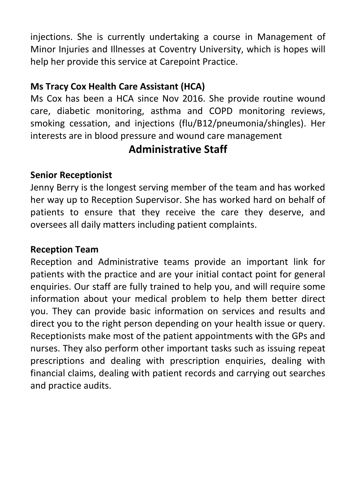injections. She is currently undertaking a course in Management of Minor Injuries and Illnesses at Coventry University, which is hopes will help her provide this service at Carepoint Practice.

### **Ms Tracy Cox Health Care Assistant (HCA)**

Ms Cox has been a HCA since Nov 2016. She provide routine wound care, diabetic monitoring, asthma and COPD monitoring reviews, smoking cessation, and injections (flu/B12/pneumonia/shingles). Her interests are in blood pressure and wound care management

## **Administrative Staff**

### **Senior Receptionist**

Jenny Berry is the longest serving member of the team and has worked her way up to Reception Supervisor. She has worked hard on behalf of patients to ensure that they receive the care they deserve, and oversees all daily matters including patient complaints.

### **Reception Team**

Reception and Administrative teams provide an important link for patients with the practice and are your initial contact point for general enquiries. Our staff are fully trained to help you, and will require some information about your medical problem to help them better direct you. They can provide basic information on services and results and direct you to the right person depending on your health issue or query. Receptionists make most of the patient appointments with the GPs and nurses. They also perform other important tasks such as issuing repeat prescriptions and dealing with prescription enquiries, dealing with financial claims, dealing with patient records and carrying out searches and practice audits.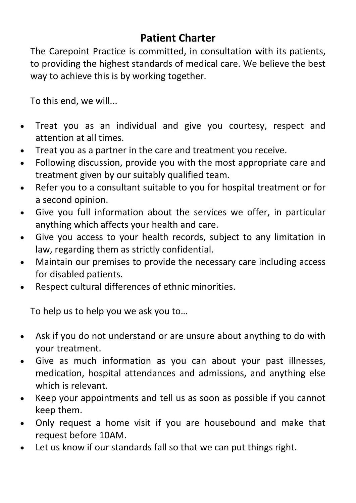# **Patient Charter**

The Carepoint Practice is committed, in consultation with its patients, to providing the highest standards of medical care. We believe the best way to achieve this is by working together.

To this end, we will...

- Treat you as an individual and give you courtesy, respect and attention at all times.
- Treat you as a partner in the care and treatment you receive.
- Following discussion, provide you with the most appropriate care and treatment given by our suitably qualified team.
- Refer you to a consultant suitable to you for hospital treatment or for a second opinion.
- Give you full information about the services we offer, in particular anything which affects your health and care.
- Give you access to your health records, subject to any limitation in law, regarding them as strictly confidential.
- Maintain our premises to provide the necessary care including access for disabled patients.
- Respect cultural differences of ethnic minorities.

To help us to help you we ask you to…

- Ask if you do not understand or are unsure about anything to do with your treatment.
- Give as much information as you can about your past illnesses, medication, hospital attendances and admissions, and anything else which is relevant.
- Keep your appointments and tell us as soon as possible if you cannot keep them.
- Only request a home visit if you are housebound and make that request before 10AM.
- Let us know if our standards fall so that we can put things right.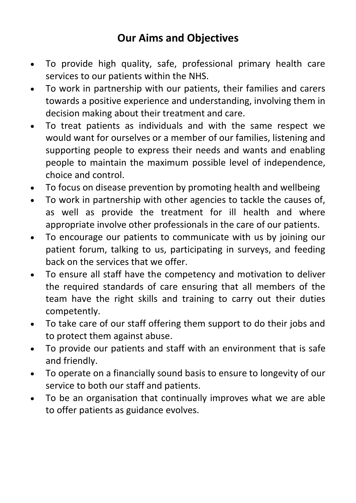# **Our Aims and Objectives**

- To provide high quality, safe, professional primary health care services to our patients within the NHS.
- To work in partnership with our patients, their families and carers towards a positive experience and understanding, involving them in decision making about their treatment and care.
- To treat patients as individuals and with the same respect we would want for ourselves or a member of our families, listening and supporting people to express their needs and wants and enabling people to maintain the maximum possible level of independence, choice and control.
- To focus on disease prevention by promoting health and wellbeing
- To work in partnership with other agencies to tackle the causes of, as well as provide the treatment for ill health and where appropriate involve other professionals in the care of our patients.
- To encourage our patients to communicate with us by joining our patient forum, talking to us, participating in surveys, and feeding back on the services that we offer.
- To ensure all staff have the competency and motivation to deliver the required standards of care ensuring that all members of the team have the right skills and training to carry out their duties competently.
- To take care of our staff offering them support to do their jobs and to protect them against abuse.
- To provide our patients and staff with an environment that is safe and friendly.
- To operate on a financially sound basis to ensure to longevity of our service to both our staff and patients.
- To be an organisation that continually improves what we are able to offer patients as guidance evolves.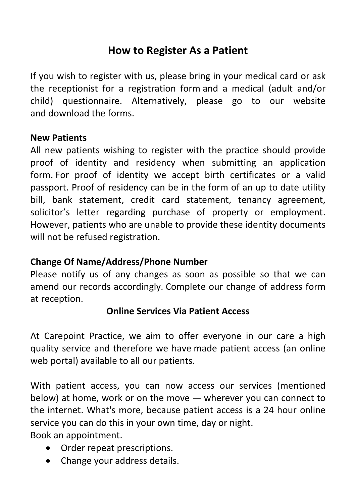# **How to Register As a Patient**

If you wish to register with us, please bring in your medical card or ask the receptionist for a registration form and a medical (adult and/or child) questionnaire. Alternatively, please go to our website and download the forms.

#### **New Patients**

All new patients wishing to register with the practice should provide proof of identity and residency when submitting an application form. For proof of identity we accept birth certificates or a valid passport. Proof of residency can be in the form of an up to date utility bill, bank statement, credit card statement, tenancy agreement, solicitor's letter regarding purchase of property or employment. However, patients who are unable to provide these identity documents will not be refused registration.

### **Change Of Name/Address/Phone Number**

Please notify us of any changes as soon as possible so that we can amend our records accordingly. Complete our change of address form at reception.

### **Online Services Via Patient Access**

At Carepoint Practice, we aim to offer everyone in our care a high quality service and therefore we have made patient access (an online web portal) available to all our patients.

With patient access, you can now access our services (mentioned below) at home, work or on the move — wherever you can connect to the internet. What's more, because patient access is a 24 hour online service you can do this in your own time, day or night.

Book an appointment.

- Order repeat prescriptions.
- Change your address details.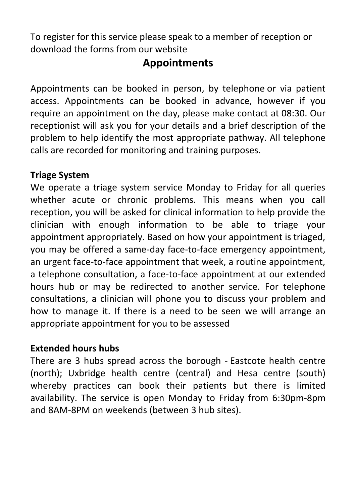To register for this service please speak to a member of reception or download the forms from our website

## **Appointments**

Appointments can be booked in person, by telephone or via patient access. Appointments can be booked in advance, however if you require an appointment on the day, please make contact at 08:30. Our receptionist will ask you for your details and a brief description of the problem to help identify the most appropriate pathway. All telephone calls are recorded for monitoring and training purposes.

### **Triage System**

We operate a triage system service Monday to Friday for all queries whether acute or chronic problems. This means when you call reception, you will be asked for clinical information to help provide the clinician with enough information to be able to triage your appointment appropriately. Based on how your appointment is triaged, you may be offered a same-day face-to-face emergency appointment, an urgent face-to-face appointment that week, a routine appointment, a telephone consultation, a face-to-face appointment at our extended hours hub or may be redirected to another service. For telephone consultations, a clinician will phone you to discuss your problem and how to manage it. If there is a need to be seen we will arrange an appropriate appointment for you to be assessed

### **Extended hours hubs**

There are 3 hubs spread across the borough - Eastcote health centre (north); Uxbridge health centre (central) and Hesa centre (south) whereby practices can book their patients but there is limited availability. The service is open Monday to Friday from 6:30pm-8pm and 8AM-8PM on weekends (between 3 hub sites).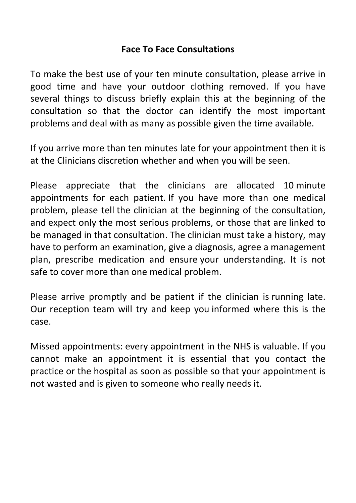#### **Face To Face Consultations**

To make the best use of your ten minute consultation, please arrive in good time and have your outdoor clothing removed. If you have several things to discuss briefly explain this at the beginning of the consultation so that the doctor can identify the most important problems and deal with as many as possible given the time available.

If you arrive more than ten minutes late for your appointment then it is at the Clinicians discretion whether and when you will be seen.

Please appreciate that the clinicians are allocated 10 minute appointments for each patient. If you have more than one medical problem, please tell the clinician at the beginning of the consultation, and expect only the most serious problems, or those that are linked to be managed in that consultation. The clinician must take a history, may have to perform an examination, give a diagnosis, agree a management plan, prescribe medication and ensure your understanding. It is not safe to cover more than one medical problem.

Please arrive promptly and be patient if the clinician is running late. Our reception team will try and keep you informed where this is the case.

Missed appointments: every appointment in the NHS is valuable. If you cannot make an appointment it is essential that you contact the practice or the hospital as soon as possible so that your appointment is not wasted and is given to someone who really needs it.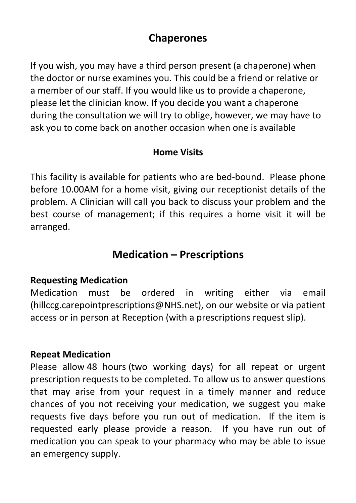## **Chaperones**

If you wish, you may have a third person present (a chaperone) when the doctor or nurse examines you. This could be a friend or relative or a member of our staff. If you would like us to provide a chaperone, please let the clinician know. If you decide you want a chaperone during the consultation we will try to oblige, however, we may have to ask you to come back on another occasion when one is available

### **Home Visits**

This facility is available for patients who are bed-bound. Please phone before 10.00AM for a home visit, giving our receptionist details of the problem. A Clinician will call you back to discuss your problem and the best course of management; if this requires a home visit it will be arranged.

## **Medication – Prescriptions**

### **Requesting Medication**

Medication must be ordered in writing either via email [\(hillccg.carepointprescriptions@NHS.net\)](mailto:hillccg.carepointprescriptions@nhs.net), on our website or via patient access or in person at Reception (with a prescriptions request slip).

### **Repeat Medication**

Please allow 48 hours (two working days) for all repeat or urgent prescription requests to be completed. To allow us to answer questions that may arise from your request in a timely manner and reduce chances of you not receiving your medication, we suggest you make requests five days before you run out of medication. If the item is requested early please provide a reason. If you have run out of medication you can speak to your pharmacy who may be able to issue an emergency supply.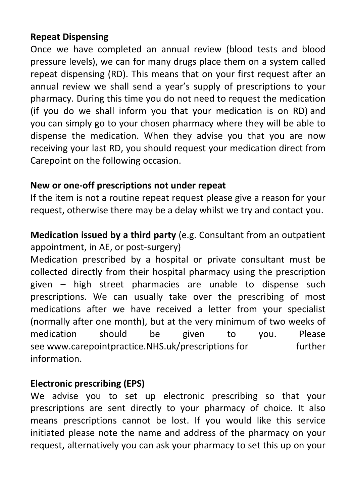### **Repeat Dispensing**

Once we have completed an annual review (blood tests and blood pressure levels), we can for many drugs place them on a system called repeat dispensing (RD). This means that on your first request after an annual review we shall send a year's supply of prescriptions to your pharmacy. During this time you do not need to request the medication (if you do we shall inform you that your medication is on RD) and you can simply go to your chosen pharmacy where they will be able to dispense the medication. When they advise you that you are now receiving your last RD, you should request your medication direct from Carepoint on the following occasion.

### **New or one-off prescriptions not under repeat**

If the item is not a routine repeat request please give a reason for your request, otherwise there may be a delay whilst we try and contact you.

**Medication issued by a third party** (e.g. Consultant from an outpatient appointment, in AE, or post-surgery)

Medication prescribed by a hospital or private consultant must be collected directly from their hospital pharmacy using the prescription given – high street pharmacies are unable to dispense such prescriptions. We can usually take over the prescribing of most medications after we have received a letter from your specialist (normally after one month), but at the very minimum of two weeks of medication should be given to you. Please see [www.carepointpractice.NHS.uk/prescriptions](https://email.nhs.net/ecp/hillccg.carepointprescriptions@nhs.net/Organize/www.carepointpractice.nhs.uk/prescriptions%3chttp:/www.carepointpractice.nhs.uk/prescriptions%3e) for further information.

### **Electronic prescribing (EPS)**

We advise you to set up electronic prescribing so that your prescriptions are sent directly to your pharmacy of choice. It also means prescriptions cannot be lost. If you would like this service initiated please note the name and address of the pharmacy on your request, alternatively you can ask your pharmacy to set this up on your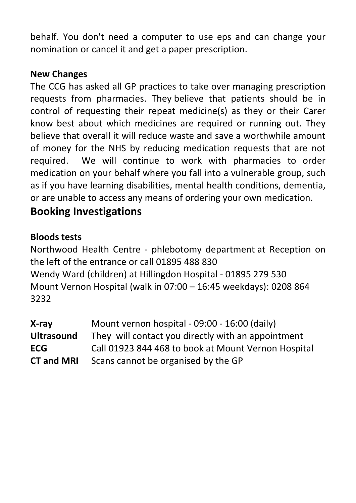behalf. You don't need a computer to use eps and can change your nomination or cancel it and get a paper prescription.

#### **New Changes**

The CCG has asked all GP practices to take over managing prescription requests from pharmacies. They believe that patients should be in control of requesting their repeat medicine(s) as they or their Carer know best about which medicines are required or running out. They believe that overall it will reduce waste and save a worthwhile amount of money for the NHS by reducing medication requests that are not required. We will continue to work with pharmacies to order medication on your behalf where you fall into a vulnerable group, such as if you have learning disabilities, mental health conditions, dementia, or are unable to access any means of ordering your own medication.

### **Booking Investigations**

### **Bloods tests**

Northwood Health Centre - phlebotomy department at Reception on the left of the entrance or call 01895 488 830 Wendy Ward (children) at Hillingdon Hospital - 01895 279 530 Mount Vernon Hospital (walk in 07:00 – 16:45 weekdays): 0208 864 3232

| X-ray             | Mount vernon hospital - 09:00 - 16:00 (daily)       |
|-------------------|-----------------------------------------------------|
| <b>Ultrasound</b> | They will contact you directly with an appointment  |
| <b>ECG</b>        | Call 01923 844 468 to book at Mount Vernon Hospital |
| <b>CT and MRI</b> | Scans cannot be organised by the GP                 |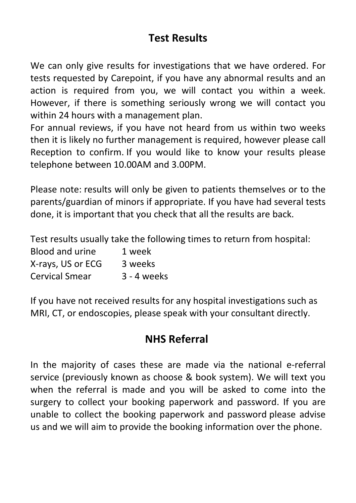# **Test Results**

We can only give results for investigations that we have ordered. For tests requested by Carepoint, if you have any abnormal results and an action is required from you, we will contact you within a week. However, if there is something seriously wrong we will contact you within 24 hours with a management plan.

For annual reviews, if you have not heard from us within two weeks then it is likely no further management is required, however please call Reception to confirm. If you would like to know your results please telephone between 10.00AM and 3.00PM.

Please note: results will only be given to patients themselves or to the parents/guardian of minors if appropriate. If you have had several tests done, it is important that you check that all the results are back.

Test results usually take the following times to return from hospital:

| Blood and urine       | 1 week        |
|-----------------------|---------------|
| X-rays, US or ECG     | 3 weeks       |
| <b>Cervical Smear</b> | $3 - 4$ weeks |

If you have not received results for any hospital investigations such as MRI, CT, or endoscopies, please speak with your consultant directly.

# **NHS Referral**

In the majority of cases these are made via the national e-referral service (previously known as choose & book system). We will text you when the referral is made and you will be asked to come into the surgery to collect your booking paperwork and password. If you are unable to collect the booking paperwork and password please advise us and we will aim to provide the booking information over the phone.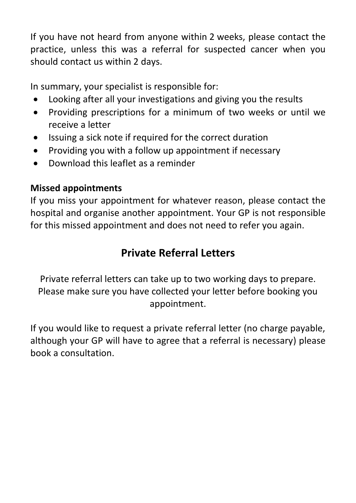If you have not heard from anyone within 2 weeks, please contact the practice, unless this was a referral for suspected cancer when you should contact us within 2 days.

In summary, your specialist is responsible for:

- Looking after all your investigations and giving you the results
- Providing prescriptions for a minimum of two weeks or until we receive a letter
- Issuing a sick note if required for the correct duration
- Providing you with a follow up appointment if necessary
- Download this leaflet as a reminder

### **Missed appointments**

If you miss your appointment for whatever reason, please contact the hospital and organise another appointment. Your GP is not responsible for this missed appointment and does not need to refer you again.

# **Private Referral Letters**

Private referral letters can take up to two working days to prepare. Please make sure you have collected your letter before booking you appointment.

If you would like to request a private referral letter (no charge payable, although your GP will have to agree that a referral is necessary) please book a consultation.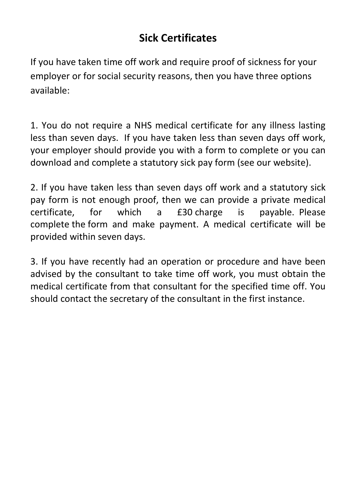# **Sick Certificates**

If you have taken time off work and require proof of sickness for your employer or for social security reasons, then you have three options available:

1. You do not require a NHS medical certificate for any illness lasting less than seven days. If you have taken less than seven days off work, your employer should provide you with a form to complete or you can download and complete a statutory sick pay form (see our website).

2. If you have taken less than seven days off work and a statutory sick pay form is not enough proof, then we can provide a private medical certificate, for which a £30 charge is payable. Please complete the [form](http://docs.wixstatic.com/ugd/90d15d_9f13fb26a1634ae0895576ad7aca59e1.docx?dn=Forms%20-%20Carepoint%20Private%20Letter%20Request%20Form%20v2.docx) and make payment. A medical certificate will be provided within seven days.

3. If you have recently had an operation or procedure and have been advised by the consultant to take time off work, you must obtain the medical certificate from that consultant for the specified time off. You should contact the secretary of the consultant in the first instance.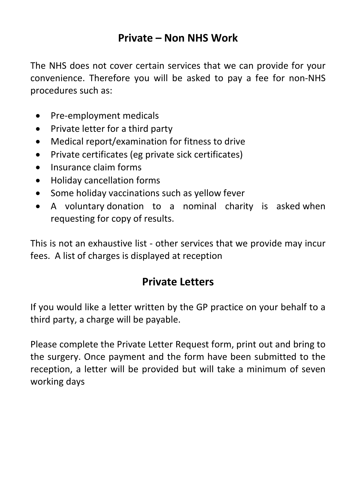## **Private – Non NHS Work**

The NHS does not cover certain services that we can provide for your convenience. Therefore you will be asked to pay a fee for non-NHS procedures such as:

- Pre-employment medicals
- Private letter for a third party
- Medical report/examination for fitness to drive
- Private certificates (eg private sick certificates)
- Insurance claim forms
- Holiday cancellation forms
- Some holiday vaccinations such as yellow fever
- A voluntary donation to a nominal charity is asked when requesting for copy of results.

This is not an exhaustive list - other services that we provide may incur fees. A list of charges is displayed at reception

# **Private Letters**

If you would like a letter written by the GP practice on your behalf to a third party, a charge will be payable.

Please complete the Private Letter Request form, print out and bring to the surgery. Once payment and the form have been submitted to the reception, a letter will be provided but will take a minimum of seven working days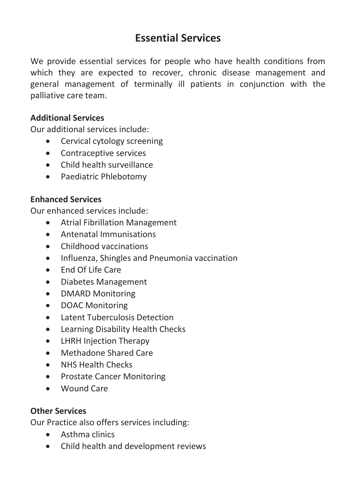## **Essential Services**

We provide essential services for people who have health conditions from which they are expected to recover, chronic disease management and general management of terminally ill patients in conjunction with the palliative care team.

#### **Additional Services**

Our additional services include:

- Cervical cytology screening
- Contraceptive services
- Child health surveillance
- Paediatric Phlebotomy

#### **Enhanced Services**

Our enhanced services include:

- Atrial Fibrillation Management
- Antenatal Immunisations
- Childhood vaccinations
- Influenza, Shingles and Pneumonia vaccination
- End Of Life Care
- Diabetes Management
- DMARD Monitoring
- DOAC Monitoring
- Latent Tuberculosis Detection
- Learning Disability Health Checks
- LHRH Injection Therapy
- Methadone Shared Care
- NHS Health Checks
- Prostate Cancer Monitoring
- Wound Care

#### **Other Services**

Our Practice also offers services including:

- Asthma clinics
- Child health and development reviews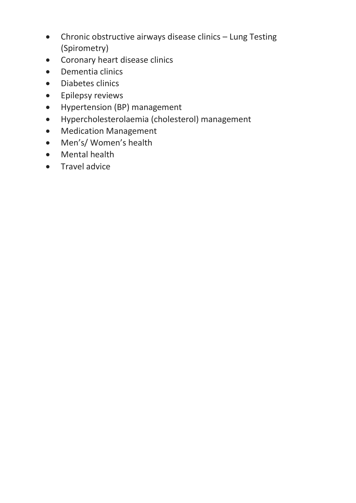- Chronic obstructive airways disease clinics Lung Testing (Spirometry)
- Coronary heart disease clinics
- Dementia clinics
- Diabetes clinics
- **•** Epilepsy reviews
- Hypertension (BP) management
- Hypercholesterolaemia (cholesterol) management
- Medication Management
- Men's/ Women's health
- Mental health
- **•** Travel advice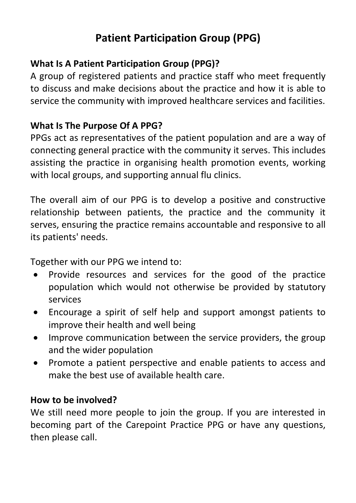# **Patient Participation Group (PPG)**

### **What Is A Patient Participation Group (PPG)?**

A group of registered patients and practice staff who meet frequently to discuss and make decisions about the practice and how it is able to service the community with improved healthcare services and facilities.

### **What Is The Purpose Of A PPG?**

PPGs act as representatives of the patient population and are a way of connecting general practice with the community it serves. This includes assisting the practice in organising health promotion events, working with local groups, and supporting annual flu clinics.

The overall aim of our PPG is to develop a positive and constructive relationship between patients, the practice and the community it serves, ensuring the practice remains accountable and responsive to all its patients' needs.

Together with our PPG we intend to:

- Provide resources and services for the good of the practice population which would not otherwise be provided by statutory services
- Encourage a spirit of self help and support amongst patients to improve their health and well being
- Improve communication between the service providers, the group and the wider population
- Promote a patient perspective and enable patients to access and make the best use of available health care.

### **How to be involved?**

We still need more people to join the group. If you are interested in becoming part of the Carepoint Practice PPG or have any questions, then please call.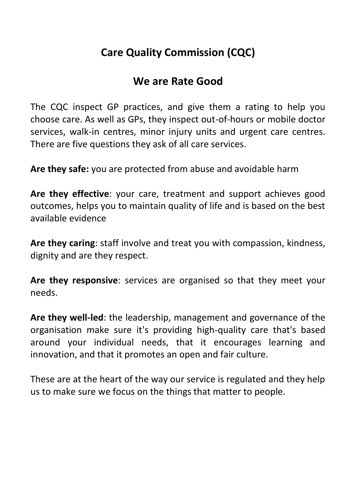# **Care Quality Commission (CQC)**

# **We are Rate Good**

The CQC inspect GP practices, and give them a rating to help you choose care. As well as GPs, they inspect out-of-hours or mobile doctor services, walk-in centres, minor injury units and urgent care centres. There are five questions they ask of all care services.

**Are they safe:** you are protected from abuse and avoidable harm

**Are they effective**: your care, treatment and support achieves good outcomes, helps you to maintain quality of life and is based on the best available evidence

**Are they caring**: staff involve and treat you with compassion, kindness, dignity and are they respect.

**Are they responsive**: services are organised so that they meet your needs.

**Are they well-led**: the leadership, management and governance of the organisation make sure it's providing high-quality care that's based around your individual needs, that it encourages learning and innovation, and that it promotes an open and fair culture.

These are at the heart of the way our service is regulated and they help us to make sure we focus on the things that matter to people.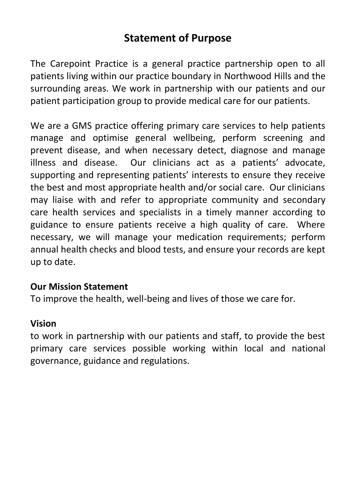## **Statement of Purpose**

The Carepoint Practice is a general practice partnership open to all patients living within our practice boundary in Northwood Hills and the surrounding areas. We work in partnership with our patients and our patient participation group to provide medical care for our patients.

We are a GMS practice offering primary care services to help patients manage and optimise general wellbeing, perform screening and prevent disease, and when necessary detect, diagnose and manage illness and disease. Our clinicians act as a patients' advocate, supporting and representing patients' interests to ensure they receive the best and most appropriate health and/or social care. Our clinicians may liaise with and refer to appropriate community and secondary care health services and specialists in a timely manner according to guidance to ensure patients receive a high quality of care. Where necessary, we will manage your medication requirements; perform annual health checks and blood tests, and ensure your records are kept up to date.

#### **Our Mission Statement**

To improve the health, well-being and lives of those we care for.

#### **Vision**

to work in partnership with our patients and staff, to provide the best primary care services possible working within local and national governance, guidance and regulations.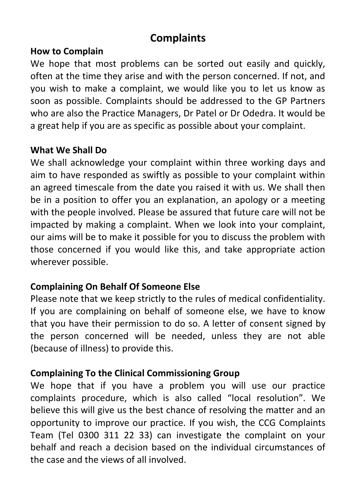# **Complaints**

#### **How to Complain**

We hope that most problems can be sorted out easily and quickly. often at the time they arise and with the person concerned. If not, and you wish to make a complaint, we would like you to let us know as soon as possible. Complaints should be addressed to the GP Partners who are also the Practice Managers, Dr Patel or Dr Odedra. It would be a great help if you are as specific as possible about your complaint.

### **What We Shall Do**

We shall acknowledge your complaint within three working days and aim to have responded as swiftly as possible to your complaint within an agreed timescale from the date you raised it with us. We shall then be in a position to offer you an explanation, an apology or a meeting with the people involved. Please be assured that future care will not be impacted by making a complaint. When we look into your complaint, our aims will be to make it possible for you to discuss the problem with those concerned if you would like this, and take appropriate action wherever possible.

### **Complaining On Behalf Of Someone Else**

Please note that we keep strictly to the rules of medical confidentiality. If you are complaining on behalf of someone else, we have to know that you have their permission to do so. A letter of consent signed by the person concerned will be needed, unless they are not able (because of illness) to provide this.

### **Complaining To the Clinical Commissioning Group**

We hope that if you have a problem you will use our practice complaints procedure, which is also called "local resolution". We believe this will give us the best chance of resolving the matter and an opportunity to improve our practice. If you wish, the CCG Complaints Team (Tel 0300 311 22 33) can investigate the complaint on your behalf and reach a decision based on the individual circumstances of the case and the views of all involved.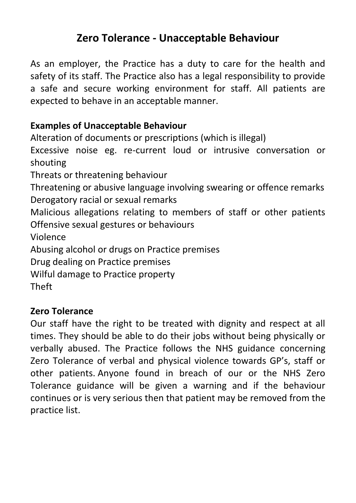## **Zero Tolerance - Unacceptable Behaviour**

As an employer, the Practice has a duty to care for the health and safety of its staff. The Practice also has a legal responsibility to provide a safe and secure working environment for staff. All patients are expected to behave in an acceptable manner.

### **Examples of Unacceptable Behaviour**

Alteration of documents or prescriptions (which is illegal)

Excessive noise eg. re-current loud or intrusive conversation or shouting

Threats or threatening behaviour

Threatening or abusive language involving swearing or offence remarks Derogatory racial or sexual remarks

Malicious allegations relating to members of staff or other patients Offensive sexual gestures or behaviours

Violence

Abusing alcohol or drugs on Practice premises

Drug dealing on Practice premises

Wilful damage to Practice property

Theft

### **Zero Tolerance**

Our staff have the right to be treated with dignity and respect at all times. They should be able to do their jobs without being physically or verbally abused. The Practice follows the NHS guidance concerning Zero Tolerance of verbal and physical violence towards GP's, staff or other patients. Anyone found in breach of our or the NHS Zero Tolerance guidance will be given a warning and if the behaviour continues or is very serious then that patient may be removed from the practice list.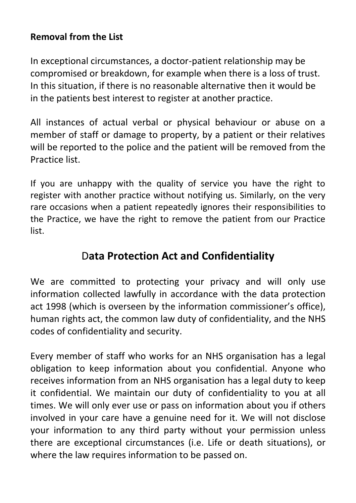### **Removal from the List**

In exceptional circumstances, a doctor-patient relationship may be compromised or breakdown, for example when there is a loss of trust. In this situation, if there is no reasonable alternative then it would be in the patients best interest to register at another practice.

All instances of actual verbal or physical behaviour or abuse on a member of staff or damage to property, by a patient or their relatives will be reported to the police and the patient will be removed from the Practice list.

If you are unhappy with the quality of service you have the right to register with another practice without notifying us. Similarly, on the very rare occasions when a patient repeatedly ignores their responsibilities to the Practice, we have the right to remove the patient from our Practice list.

# D**ata Protection Act and Confidentiality**

We are committed to protecting your privacy and will only use information collected lawfully in accordance with the data protection act 1998 (which is overseen by the information commissioner's office), human rights act, the common law duty of confidentiality, and the NHS codes of confidentiality and security.

Every member of staff who works for an NHS organisation has a legal obligation to keep information about you confidential. Anyone who receives information from an NHS organisation has a legal duty to keep it confidential. We maintain our duty of confidentiality to you at all times. We will only ever use or pass on information about you if others involved in your care have a genuine need for it. We will not disclose your information to any third party without your permission unless there are exceptional circumstances (i.e. Life or death situations), or where the law requires information to be passed on.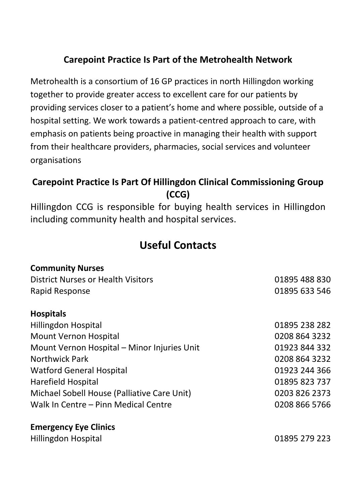### **Carepoint Practice Is Part of the Metrohealth Network**

Metrohealth is a consortium of 16 GP practices in north Hillingdon working together to provide greater access to excellent care for our patients by providing services closer to a patient's home and where possible, outside of a hospital setting. We work towards a patient-centred approach to care, with emphasis on patients being proactive in managing their health with support from their healthcare providers, pharmacies, social services and volunteer organisations

### **Carepoint Practice Is Part Of Hillingdon Clinical Commissioning Group (CCG)**

Hillingdon CCG is responsible for buying health services in Hillingdon including community health and hospital services.

# **Useful Contacts**

| <b>Community Nurses</b>                     |               |
|---------------------------------------------|---------------|
| District Nurses or Health Visitors          | 01895 488 830 |
| Rapid Response                              | 01895 633 546 |
| <b>Hospitals</b>                            |               |
| Hillingdon Hospital                         | 01895 238 282 |
| Mount Vernon Hospital                       | 0208 864 3232 |
| Mount Vernon Hospital - Minor Injuries Unit | 01923 844 332 |
| <b>Northwick Park</b>                       | 0208 864 3232 |
| <b>Watford General Hospital</b>             | 01923 244 366 |
| Harefield Hospital                          | 01895 823 737 |
| Michael Sobell House (Palliative Care Unit) | 0203 826 2373 |
| Walk In Centre - Pinn Medical Centre        | 0208 866 5766 |
| <b>Emergency Eye Clinics</b>                |               |
| Hillingdon Hospital                         | 01895 279 223 |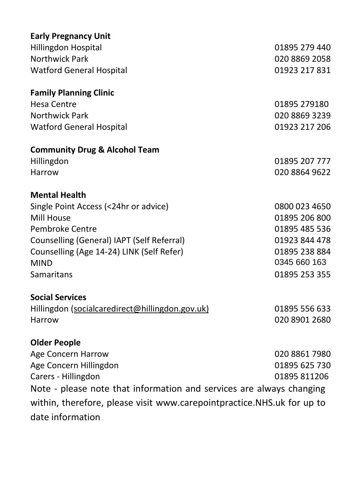| <b>Early Pregnancy Unit</b>                                            |               |  |  |
|------------------------------------------------------------------------|---------------|--|--|
| <b>Hillingdon Hospital</b>                                             | 01895 279 440 |  |  |
| <b>Northwick Park</b>                                                  | 020 8869 2058 |  |  |
| <b>Watford General Hospital</b>                                        | 01923 217 831 |  |  |
| <b>Family Planning Clinic</b>                                          |               |  |  |
| <b>Hesa Centre</b>                                                     | 01895 279180  |  |  |
| <b>Northwick Park</b>                                                  | 020 8869 3239 |  |  |
| <b>Watford General Hospital</b>                                        | 01923 217 206 |  |  |
| <b>Community Drug &amp; Alcohol Team</b>                               |               |  |  |
| Hillingdon                                                             | 01895 207 777 |  |  |
| Harrow                                                                 | 020 8864 9622 |  |  |
| <b>Mental Health</b>                                                   |               |  |  |
| Single Point Access (<24hr or advice)                                  | 0800 023 4650 |  |  |
| Mill House                                                             | 01895 206 800 |  |  |
| Pembroke Centre                                                        | 01895 485 536 |  |  |
| Counselling (General) IAPT (Self Referral)                             | 01923 844 478 |  |  |
| Counselling (Age 14-24) LINK (Self Refer)                              | 01895 238 884 |  |  |
| <b>MIND</b>                                                            | 0345 660 163  |  |  |
| <b>Samaritans</b>                                                      | 01895 253 355 |  |  |
| <b>Social Services</b>                                                 |               |  |  |
| Hillingdon (socialcaredirect@hillingdon.gov.uk)                        | 01895 556 633 |  |  |
| Harrow                                                                 | 020 8901 2680 |  |  |
| <b>Older People</b>                                                    |               |  |  |
| Age Concern Harrow                                                     | 020 8861 7980 |  |  |
| Age Concern Hillingdon                                                 | 01895 625 730 |  |  |
| Carers - Hillingdon                                                    | 01895 811206  |  |  |
| Note - please note that information and services are always changing   |               |  |  |
| within, therefore, please visit www.carepointpractice.NHS.uk for up to |               |  |  |
| date information                                                       |               |  |  |